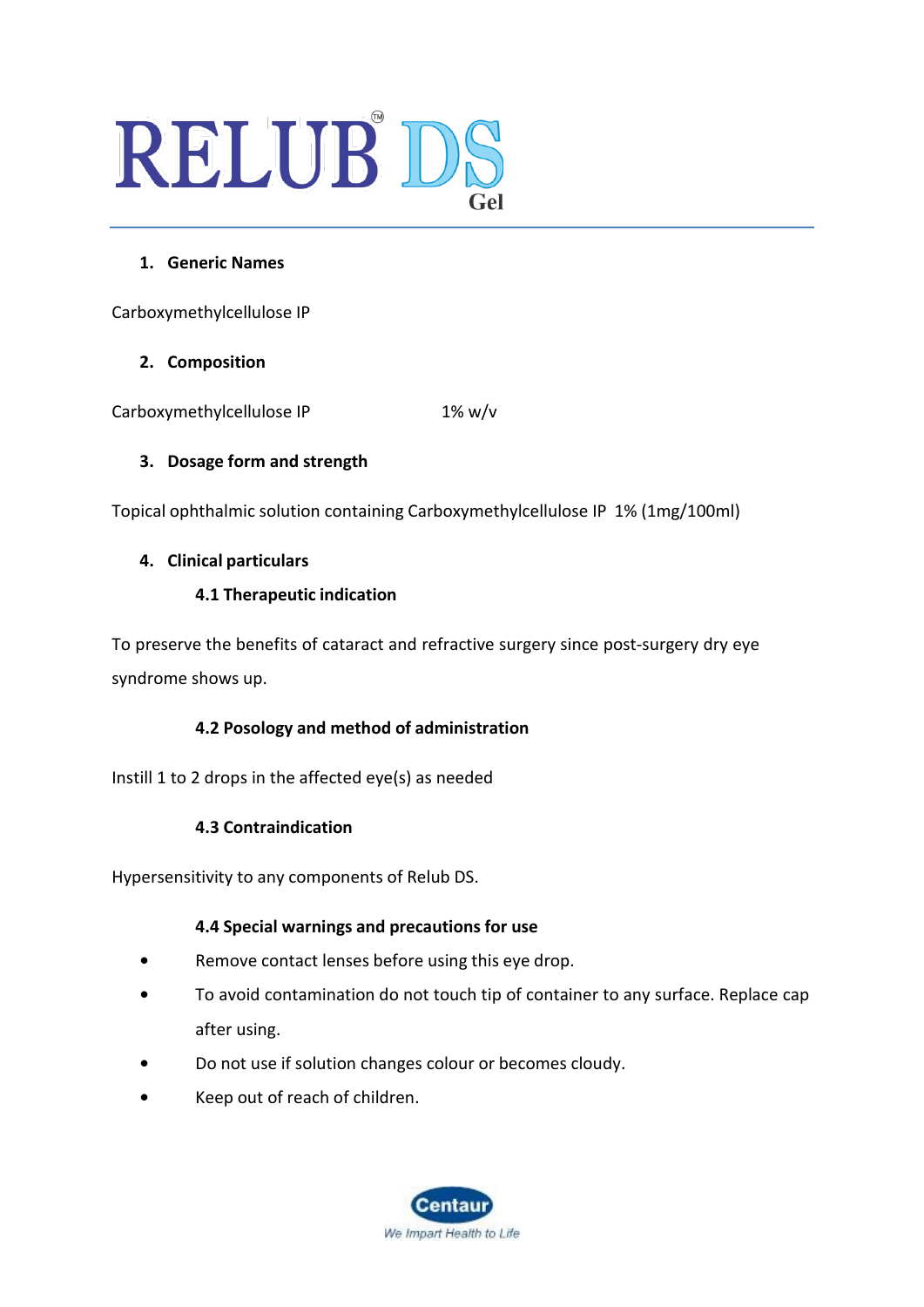# RELUB DS

# **1. Generic Names**

Carboxymethylcellulose IP

# **2. Composition**

Carboxymethylcellulose IP 1% w/v

# **3. Dosage form and strength**

Topical ophthalmic solution containing Carboxymethylcellulose IP 1% (1mg/100ml)

# **4. Clinical particulars**

# **4.1 Therapeutic indication**

To preserve the benefits of cataract and refractive surgery since post-surgery dry eye syndrome shows up.

# **4.2 Posology and method of administration**

Instill 1 to 2 drops in the affected eye(s) as needed

# **4.3 Contraindication**

Hypersensitivity to any components of Relub DS.

# **4.4 Special warnings and precautions for use**

- **•** Remove contact lenses before using this eye drop.
- **•** To avoid contamination do not touch tip of container to any surface. Replace cap after using.
- **•** Do not use if solution changes colour or becomes cloudy.
- **•** Keep out of reach of children.

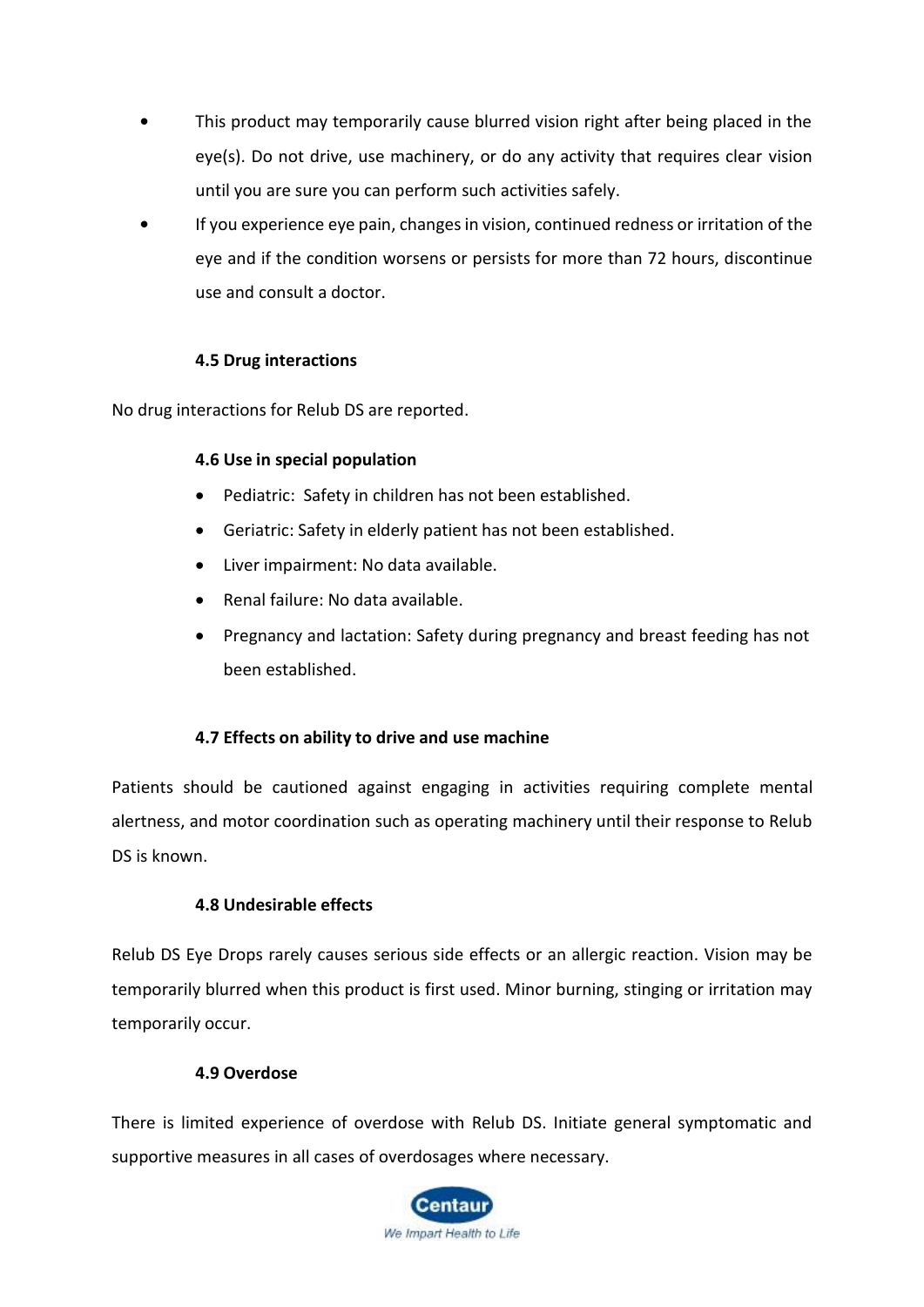- **•** This product may temporarily cause blurred vision right after being placed in the eye(s). Do not drive, use machinery, or do any activity that requires clear vision until you are sure you can perform such activities safely.
- **•** If you experience eye pain, changes in vision, continued redness or irritation of the eye and if the condition worsens or persists for more than 72 hours, discontinue use and consult a doctor.

#### **4.5 Drug interactions**

No drug interactions for Relub DS are reported.

#### **4.6 Use in special population**

- Pediatric: Safety in children has not been established.
- Geriatric: Safety in elderly patient has not been established.
- Liver impairment: No data available.
- Renal failure: No data available.
- Pregnancy and lactation: Safety during pregnancy and breast feeding has not been established.

#### **4.7 Effects on ability to drive and use machine**

Patients should be cautioned against engaging in activities requiring complete mental alertness, and motor coordination such as operating machinery until their response to Relub DS is known.

#### **4.8 Undesirable effects**

Relub DS Eye Drops rarely causes serious side effects or an allergic reaction. Vision may be temporarily blurred when this product is first used. Minor burning, stinging or irritation may temporarily occur.

#### **4.9 Overdose**

There is limited experience of overdose with Relub DS. Initiate general symptomatic and supportive measures in all cases of overdosages where necessary.

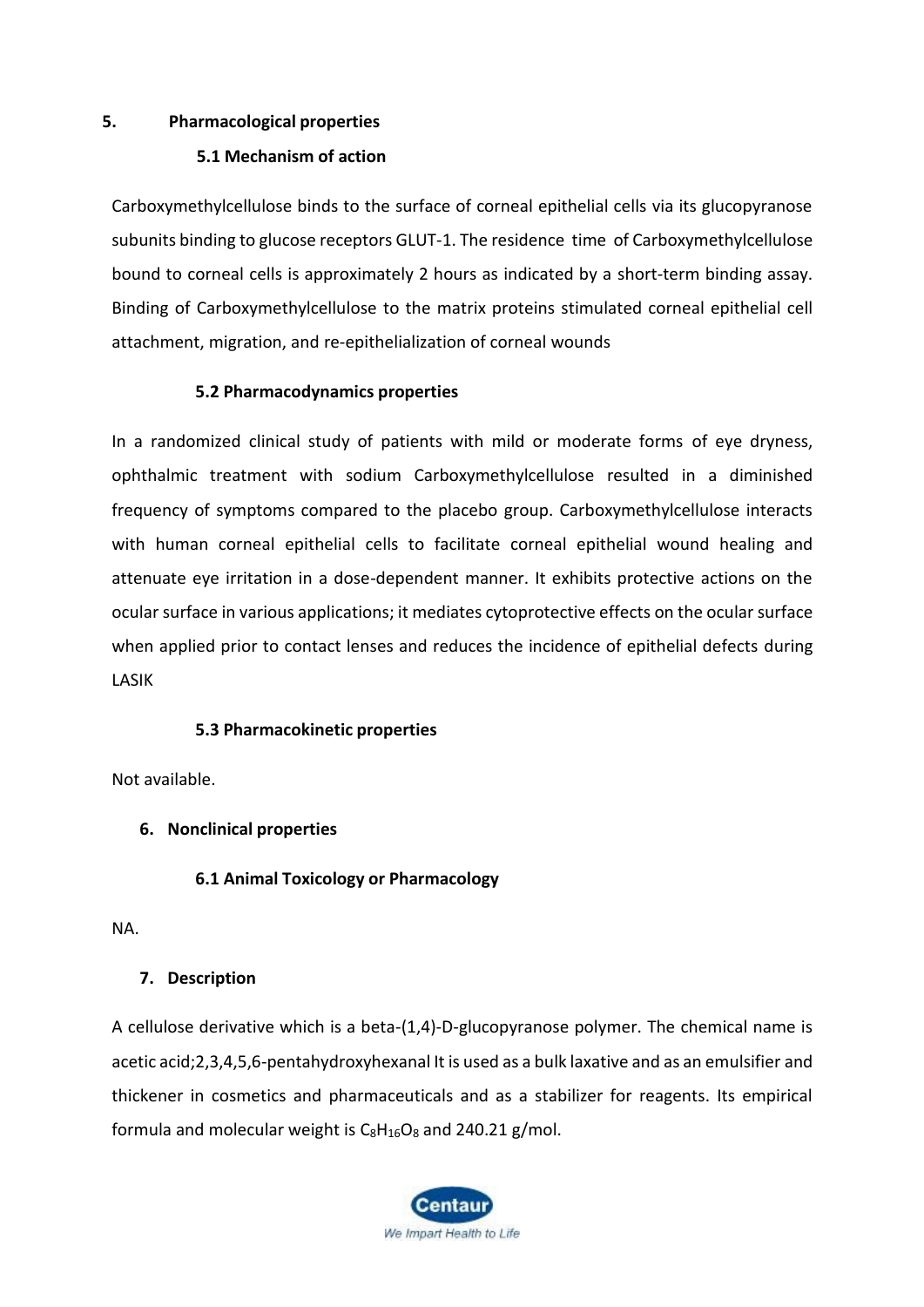#### **5. Pharmacological properties**

#### **5.1 Mechanism of action**

Carboxymethylcellulose binds to the surface of corneal epithelial cells via its glucopyranose subunits binding to glucose receptors GLUT-1. The residence time of Carboxymethylcellulose bound to corneal cells is approximately 2 hours as indicated by a short-term binding assay. Binding of Carboxymethylcellulose to the matrix proteins stimulated corneal epithelial cell attachment, migration, and re-epithelialization of corneal wounds

#### **5.2 Pharmacodynamics properties**

In a randomized clinical study of patients with mild or moderate forms of eye dryness, ophthalmic treatment with sodium Carboxymethylcellulose resulted in a diminished frequency of symptoms compared to the placebo group. Carboxymethylcellulose interacts with human corneal epithelial cells to facilitate corneal epithelial wound healing and attenuate eye irritation in a dose-dependent manner. It exhibits protective actions on the ocular surface in various applications; it mediates cytoprotective effects on the ocular surface when applied prior to contact lenses and reduces the incidence of epithelial defects during LASIK

# **5.3 Pharmacokinetic properties**

Not available.

# **6. Nonclinical properties**

# **6.1 Animal Toxicology or Pharmacology**

NA.

# **7. Description**

A cellulose derivative which is a beta-(1,4)-D-glucopyranose polymer. The chemical name is acetic acid;2,3,4,5,6-pentahydroxyhexanal It is used as a bulk laxative and as an emulsifier and thickener in cosmetics and pharmaceuticals and as a stabilizer for reagents. Its empirical formula and molecular weight is  $C_8H_{16}O_8$  $C_8H_{16}O_8$  $C_8H_{16}O_8$  and 240.21 g/mol.

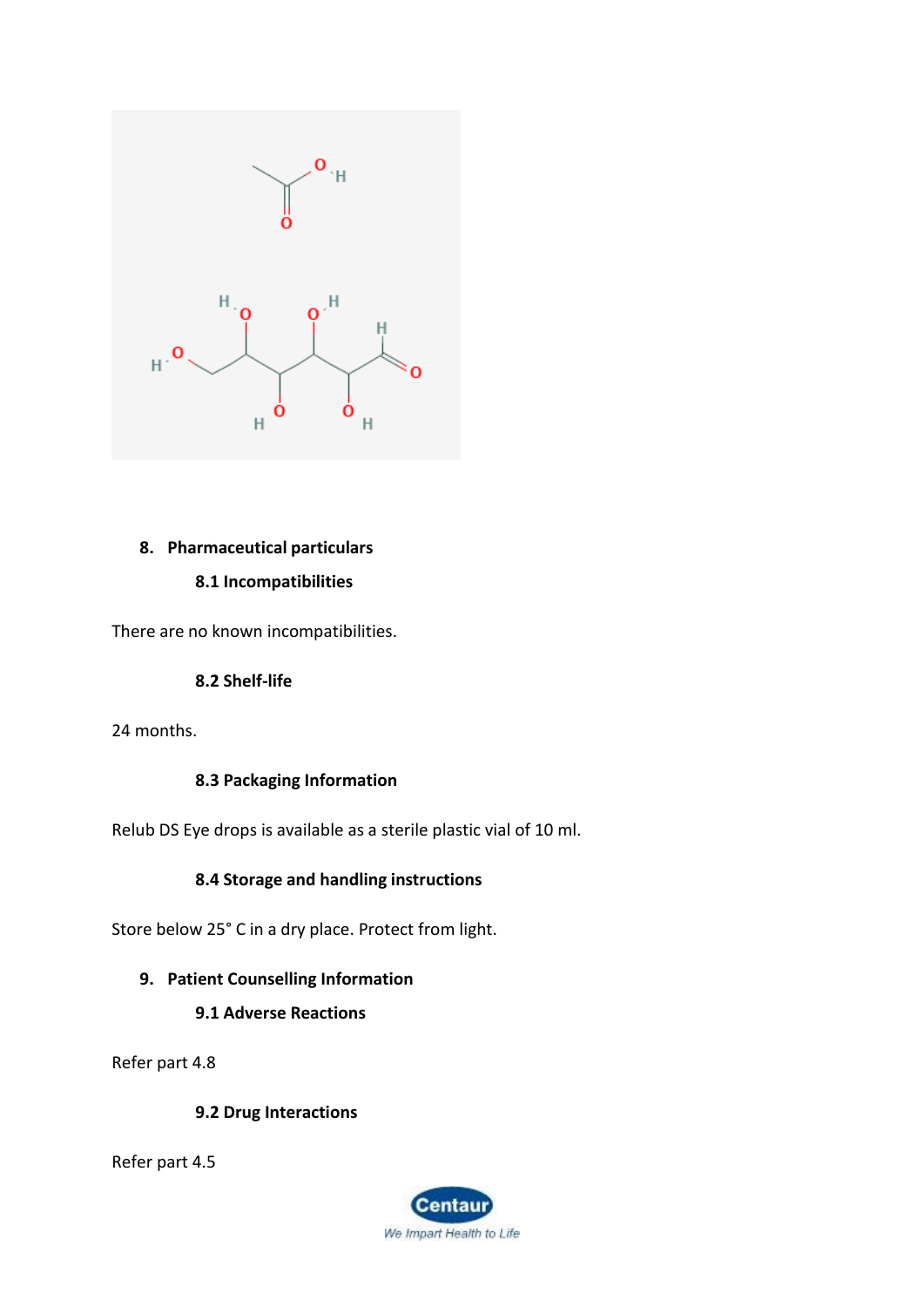

# **8. Pharmaceutical particulars**

#### **8.1 Incompatibilities**

There are no known incompatibilities.

# **8.2 Shelf-life**

24 months.

# **8.3 Packaging Information**

Relub DS Eye drops is available as a sterile plastic vial of 10 ml.

#### **8.4 Storage and handling instructions**

Store below 25° C in a dry place. Protect from light.

# **9. Patient Counselling Information**

# **9.1 Adverse Reactions**

Refer part 4.8

#### **9.2 Drug Interactions**

Refer part 4.5